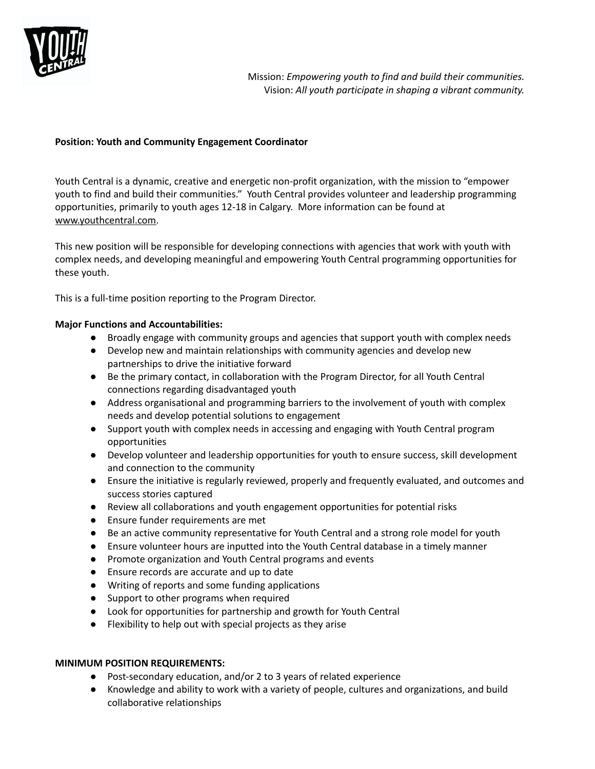

## **Position: Youth and Community Engagement Coordinator**

Youth Central is a dynamic, creative and energetic non-profit organization, with the mission to "empower youth to find and build their communities." Youth Central provides volunteer and leadership programming opportunities, primarily to youth ages 12-18 in Calgary. More information can be found at [www.youthcentral.com.](http://www.youthcentral.com)

This new position will be responsible for developing connections with agencies that work with youth with complex needs, and developing meaningful and empowering Youth Central programming opportunities for these youth.

This is a full-time position reporting to the Program Director.

## **Major Functions and Accountabilities:**

- Broadly engage with community groups and agencies that support youth with complex needs
- Develop new and maintain relationships with community agencies and develop new partnerships to drive the initiative forward
- Be the primary contact, in collaboration with the Program Director, for all Youth Central connections regarding disadvantaged youth
- Address organisational and programming barriers to the involvement of youth with complex needs and develop potential solutions to engagement
- Support youth with complex needs in accessing and engaging with Youth Central program opportunities
- Develop volunteer and leadership opportunities for youth to ensure success, skill development and connection to the community
- Ensure the initiative is regularly reviewed, properly and frequently evaluated, and outcomes and success stories captured
- Review all collaborations and youth engagement opportunities for potential risks
- Ensure funder requirements are met
- Be an active community representative for Youth Central and a strong role model for youth
- Ensure volunteer hours are inputted into the Youth Central database in a timely manner
- Promote organization and Youth Central programs and events
- Ensure records are accurate and up to date
- Writing of reports and some funding applications
- Support to other programs when required
- Look for opportunities for partnership and growth for Youth Central
- Flexibility to help out with special projects as they arise

## **MINIMUM POSITION REQUIREMENTS:**

- Post-secondary education, and/or 2 to 3 years of related experience
- Knowledge and ability to work with a variety of people, cultures and organizations, and build collaborative relationships